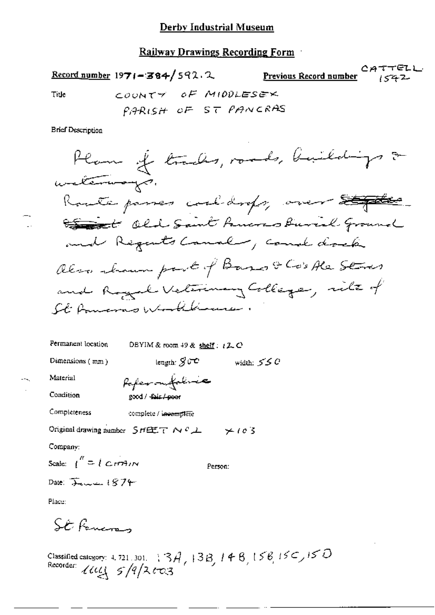## **Railway Drawings Recording Form**

CATTELL Record number 1971-384/592.2 Previous Record number  $1 < 42$ COUNTY OF MIDDLESEX Title PARISH OF ST PANCRAS

**Brief Description** 

Permanent location DBYIM & room 49 & shelf:  $12 \text{ C}$ 

Dimensions  $(mn)$ 

length:  $S$  (FC) width:  $550$ 

Material Condition Referantitive good / fair / poor

Completeness complete / incomplete

Original drawing number  $S HET N^c L \rightarrow 63$ 

Company:

Scale:  $\int_0^R = \int C t T^2 dm$ 

Person:

Date: James 1874

Place:

St. Formeron

Classified category: 4, 721, 301,  $\frac{13}{4}$ ,  $\frac{13}{8}$ ,  $\frac{148}{148}$ ,  $\frac{156}{15}$ ,  $\frac{156}{15}$ ,  $\frac{150}{15}$ <br>Recorder:  $\frac{1601}{15}$ ,  $\frac{5}{4}$ ,  $\frac{132}{15}$ ,  $\frac{138}{15}$ ,  $\frac{148}{15}$ ,  $\frac{156}{15}$ ,  $\frac{156}{15}$